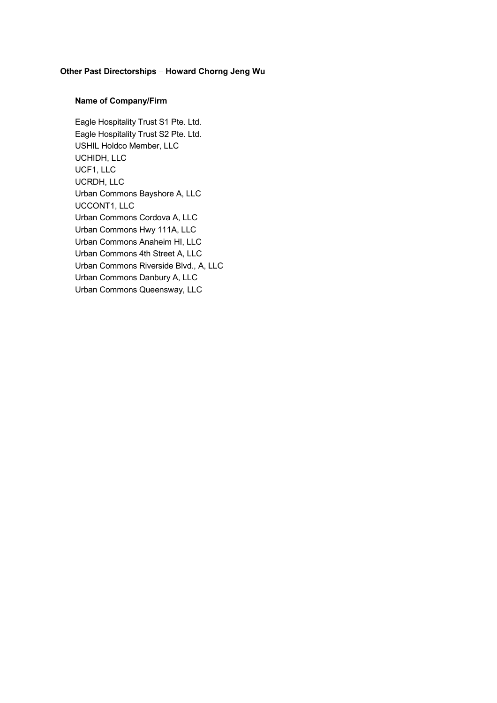## Other Past Directorships - Howard Chorng Jeng Wu

## Name of Company/Firm

Eagle Hospitality Trust S1 Pte. Ltd. Eagle Hospitality Trust S2 Pte. Ltd. USHIL Holdco Member, LLC UCHIDH, LLC UCF1, LLC UCRDH, LLC Urban Commons Bayshore A, LLC UCCONT1, LLC Urban Commons Cordova A, LLC Urban Commons Hwy 111A, LLC Urban Commons Anaheim HI, LLC Urban Commons 4th Street A, LLC Urban Commons Riverside Blvd., A, LLC Urban Commons Danbury A, LLC Urban Commons Queensway, LLC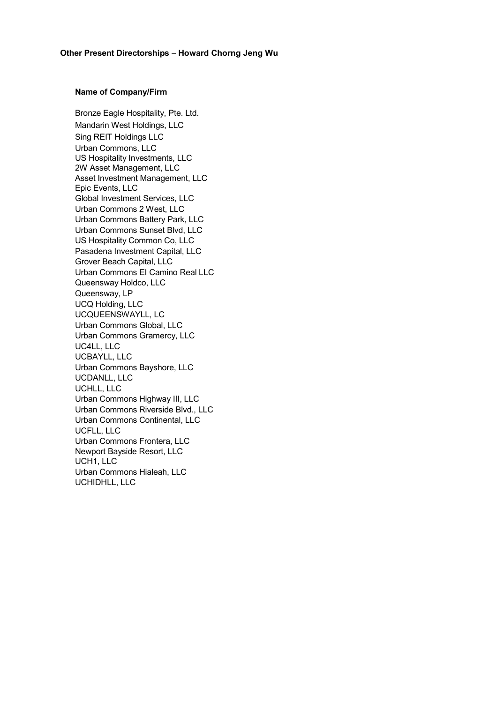## Name of Company/Firm

Bronze Eagle Hospitality, Pte. Ltd. Mandarin West Holdings, LLC Sing REIT Holdings LLC Urban Commons, LLC US Hospitality Investments, LLC 2W Asset Management, LLC Asset Investment Management, LLC Epic Events, LLC Global Investment Services, LLC Urban Commons 2 West, LLC Urban Commons Battery Park, LLC Urban Commons Sunset Blvd, LLC US Hospitality Common Co, LLC Pasadena Investment Capital, LLC Grover Beach Capital, LLC Urban Commons EI Camino Real LLC Queensway Holdco, LLC Queensway, LP UCQ Holding, LLC UCQUEENSWAYLL, LC Urban Commons Global, LLC Urban Commons Gramercy, LLC UC4LL, LLC UCBAYLL, LLC Urban Commons Bayshore, LLC UCDANLL, LLC UCHLL, LLC Urban Commons Highway III, LLC Urban Commons Riverside Blvd., LLC Urban Commons Continental, LLC UCFLL, LLC Urban Commons Frontera, LLC Newport Bayside Resort, LLC UCH1, LLC Urban Commons Hialeah, LLC UCHIDHLL, LLC